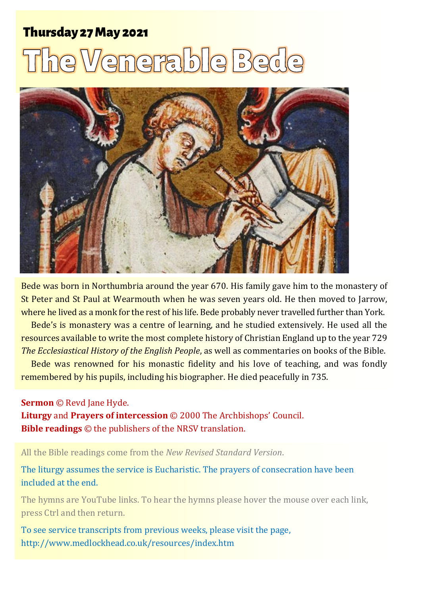## **Thursday 27 May 2021**

# he Venera ble Be



Bede was born in Northumbria around the year 670. His family gave him to the monastery of St Peter and St Paul at Wearmouth when he was seven years old. He then moved to Jarrow, where he lived as a monk for the rest of his life. Bede probably never travelled further than York.

Bede's is monastery was a centre of learning, and he studied extensively. He used all the resources available to write the most complete history of Christian England up to the year 729 *The Ecclesiastical History of the English People*, as well as commentaries on books of the Bible.

Bede was renowned for his monastic fidelity and his love of teaching, and was fondly remembered by his pupils, including his biographer. He died peacefully in 735.

#### **Sermon** © Revd Jane Hyde.

**Liturgy** and **Prayers of intercession** © 2000 The Archbishops' Council. **Bible readings** © the publishers of the NRSV translation.

All the Bible readings come from the *New Revised Standard Version*.

#### The liturgy assumes the service is Eucharistic. The prayers of consecration have been included at the end.

The hymns are YouTube links. To hear the hymns please hover the mouse over each link, press Ctrl and then return.

To see service transcripts from previous weeks, please visit the page, <http://www.medlockhead.co.uk/resources/index.htm>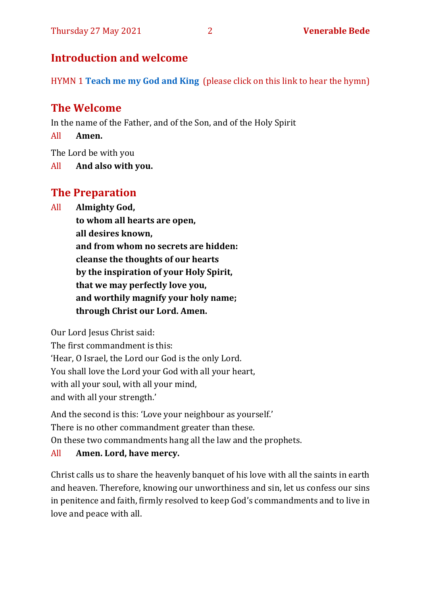#### **Introduction and welcome**

HYMN 1 **[Teach me my God and King](https://www.youtube.com/watch?v=p1Rpax0eEqI)** (please click on this link to hear the hymn)

#### **The Welcome**

In the name of the Father, and of the Son, and of the Holy Spirit

All **Amen.**

The Lord be with you

All **And also with you.**

#### **The Preparation**

All **Almighty God,**

**to whom all hearts are open, all desires known, and from whom no secrets are hidden: cleanse the thoughts of our hearts by the inspiration of your Holy Spirit, that we may perfectly love you, and worthily magnify your holy name; through Christ our Lord. Amen.**

Our Lord Jesus Christ said:

The first commandment is this: 'Hear, O Israel, the Lord our God is the only Lord. You shall love the Lord your God with all your heart, with all your soul, with all your mind, and with all your strength.'

And the second is this: 'Love your neighbour as yourself.' There is no other commandment greater than these. On these two commandments hang all the law and the prophets.

#### All **Amen. Lord, have mercy.**

Christ calls us to share the heavenly banquet of his love with all the saints in earth and heaven. Therefore, knowing our unworthiness and sin, let us confess our sins in penitence and faith, firmly resolved to keep God's commandments and to live in love and peace with all.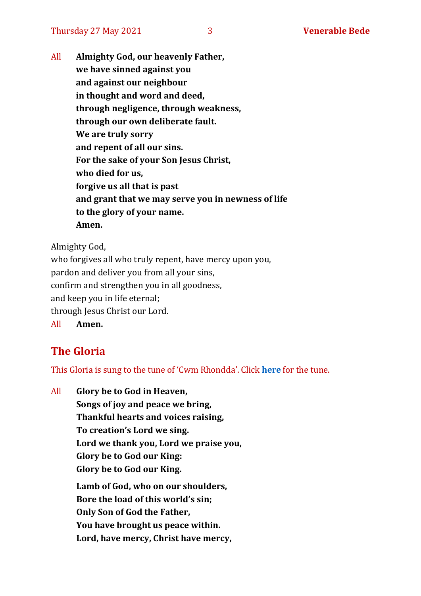All **Almighty God, our heavenly Father, we have sinned against you and against our neighbour in thought and word and deed, through negligence, through weakness, through our own deliberate fault. We are truly sorry and repent of all our sins. For the sake of your Son Jesus Christ, who died for us, forgive us all that is past and grant that we may serve you in newness of life to the glory of your name. Amen.**

Almighty God,

who forgives all who truly repent, have mercy upon you, pardon and deliver you from all your sins, confirm and strengthen you in all goodness, and keep you in life eternal; through Jesus Christ our Lord. All **Amen.**

#### **The Gloria**

This Gloria is sung to the tune of 'Cwm Rhondda'. Click **[here](https://www.youtube.com/watch?v=l71MLQ22dIk)** for the tune.

All **Glory be to God in Heaven, Songs of joy and peace we bring, Thankful hearts and voices raising, To creation's Lord we sing. Lord we thank you, Lord we praise you, Glory be to God our King: Glory be to God our King. Lamb of God, who on our shoulders, Bore the load of this world's sin; Only Son of God the Father, You have brought us peace within. Lord, have mercy, Christ have mercy,**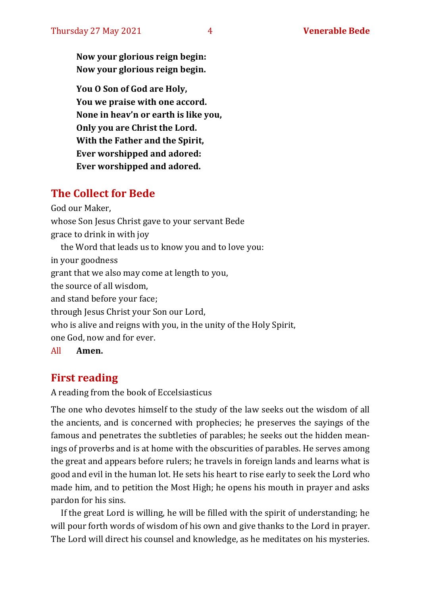**Now your glorious reign begin: Now your glorious reign begin.**

**You O Son of God are Holy, You we praise with one accord. None in heav'n or earth is like you, Only you are Christ the Lord. With the Father and the Spirit, Ever worshipped and adored: Ever worshipped and adored.**

#### **The Collect for Bede**

God our Maker,

whose Son Jesus Christ gave to your servant Bede

grace to drink in with joy

the Word that leads us to know you and to love you:

in your goodness

grant that we also may come at length to you,

the source of all wisdom,

and stand before your face;

through Jesus Christ your Son our Lord,

who is alive and reigns with you, in the unity of the Holy Spirit,

one God, now and for ever.

All **Amen.**

### **First reading**

A reading from the book of Eccelsiasticus

The one who devotes himself to the study of the law seeks out the wisdom of all the ancients, and is concerned with prophecies; he preserves the sayings of the famous and penetrates the subtleties of parables; he seeks out the hidden meanings of proverbs and is at home with the obscurities of parables. He serves among the great and appears before rulers; he travels in foreign lands and learns what is good and evil in the human lot. He sets his heart to rise early to seek the Lord who made him, and to petition the Most High; he opens his mouth in prayer and asks pardon for his sins.

If the great Lord is willing, he will be filled with the spirit of understanding; he will pour forth words of wisdom of his own and give thanks to the Lord in prayer. The Lord will direct his counsel and knowledge, as he meditates on his mysteries.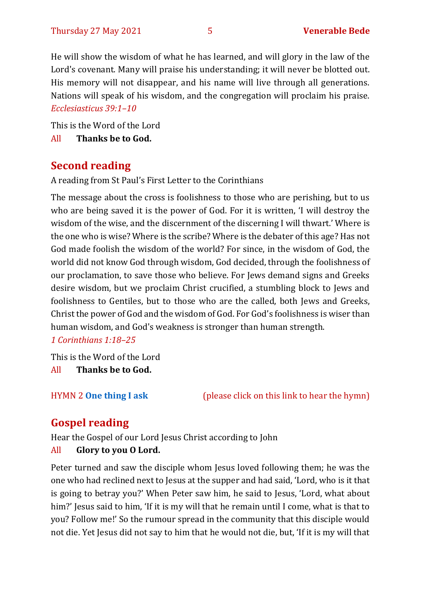He will show the wisdom of what he has learned, and will glory in the law of the Lord's covenant. Many will praise his understanding; it will never be blotted out. His memory will not disappear, and his name will live through all generations. Nations will speak of his wisdom, and the congregation will proclaim his praise. *Ecclesiasticus 39:1–10*

This is the Word of the Lord

All **Thanks be to God.**

#### **Second reading**

A reading from St Paul's First Letter to the Corinthians

The message about the cross is foolishness to those who are perishing, but to us who are being saved it is the power of God. For it is written, 'I will destroy the wisdom of the wise, and the discernment of the discerning I will thwart.' Where is the one who is wise? Where is the scribe? Where is the debater of this age? Has not God made foolish the wisdom of the world? For since, in the wisdom of God, the world did not know God through wisdom, God decided, through the foolishness of our proclamation, to save those who believe. For Jews demand signs and Greeks desire wisdom, but we proclaim Christ crucified, a stumbling block to Jews and foolishness to Gentiles, but to those who are the called, both Jews and Greeks, Christ the power of God and the wisdom of God. For God's foolishness is wiser than human wisdom, and God's weakness is stronger than human strength. *1 Corinthians 1:18–25*

This is the Word of the Lord All **Thanks be to God.**

HYMN 2 **[One thing I ask](https://www.youtube.com/watch?v=od8900719uY)** (please click on this link to hear the hymn)

## **Gospel reading**

Hear the Gospel of our Lord Jesus Christ according to John All **Glory to you O Lord.**

Peter turned and saw the disciple whom Jesus loved following them; he was the one who had reclined next to Jesus at the supper and had said, 'Lord, who is it that is going to betray you?' When Peter saw him, he said to Jesus, 'Lord, what about him?' Jesus said to him, 'If it is my will that he remain until I come, what is that to you? Follow me!' So the rumour spread in the community that this disciple would not die. Yet Jesus did not say to him that he would not die, but, 'If it is my will that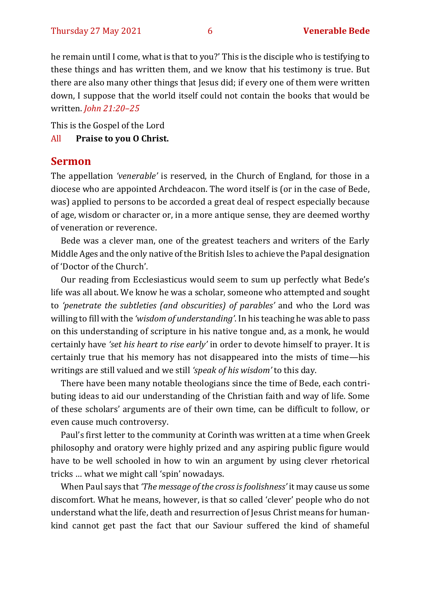he remain until I come, what is that to you?' This is the disciple who is testifying to these things and has written them, and we know that his testimony is true. But there are also many other things that Jesus did; if every one of them were written down, I suppose that the world itself could not contain the books that would be written. *John 21:20–25*

This is the Gospel of the Lord

#### All **Praise to you O Christ.**

#### **Sermon**

The appellation *'venerable'* is reserved, in the Church of England, for those in a diocese who are appointed Archdeacon. The word itself is (or in the case of Bede, was) applied to persons to be accorded a great deal of respect especially because of age, wisdom or character or, in a more antique sense, they are deemed worthy of veneration or reverence.

Bede was a clever man, one of the greatest teachers and writers of the Early Middle Ages and the only native of the British Isles to achieve the Papal designation of 'Doctor of the Church'.

Our reading from Ecclesiasticus would seem to sum up perfectly what Bede's life was all about. We know he was a scholar, someone who attempted and sought to *'penetrate the subtleties (and obscurities) of parables'* and who the Lord was willing to fill with the *'wisdom of understanding'*. In his teaching he was able to pass on this understanding of scripture in his native tongue and, as a monk, he would certainly have *'set his heart to rise early'* in order to devote himself to prayer. It is certainly true that his memory has not disappeared into the mists of time—his writings are still valued and we still *'speak of his wisdom'* to this day.

There have been many notable theologians since the time of Bede, each contributing ideas to aid our understanding of the Christian faith and way of life. Some of these scholars' arguments are of their own time, can be difficult to follow, or even cause much controversy.

Paul's first letter to the community at Corinth was written at a time when Greek philosophy and oratory were highly prized and any aspiring public figure would have to be well schooled in how to win an argument by using clever rhetorical tricks … what we might call 'spin' nowadays.

When Paul says that *'The message of the cross is foolishness'* it may cause us some discomfort. What he means, however, is that so called 'clever' people who do not understand what the life, death and resurrection of Jesus Christ means for humankind cannot get past the fact that our Saviour suffered the kind of shameful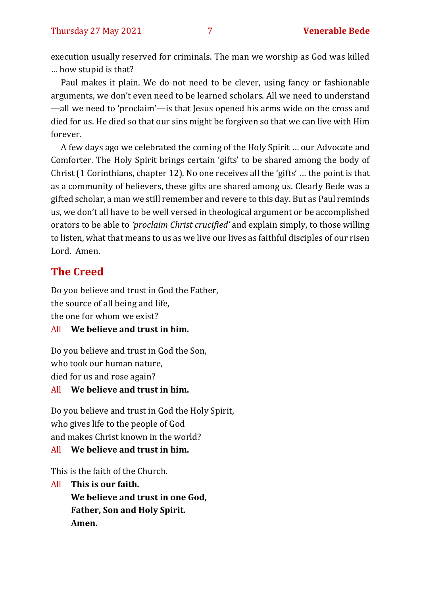execution usually reserved for criminals. The man we worship as God was killed … how stupid is that?

Paul makes it plain. We do not need to be clever, using fancy or fashionable arguments, we don't even need to be learned scholars. All we need to understand —all we need to 'proclaim'—is that Jesus opened his arms wide on the cross and died for us. He died so that our sins might be forgiven so that we can live with Him forever.

A few days ago we celebrated the coming of the Holy Spirit … our Advocate and Comforter. The Holy Spirit brings certain 'gifts' to be shared among the body of Christ (1 Corinthians, chapter 12). No one receives all the 'gifts' … the point is that as a community of believers, these gifts are shared among us. Clearly Bede was a gifted scholar, a man we still remember and revere to this day. But as Paul reminds us, we don't all have to be well versed in theological argument or be accomplished orators to be able to *'proclaim Christ crucified'* and explain simply, to those willing to listen, what that means to us as we live our lives as faithful disciples of our risen Lord. Amen.

#### **The Creed**

Do you believe and trust in God the Father, the source of all being and life, the one for whom we exist?

#### All **We believe and trust in him.**

Do you believe and trust in God the Son, who took our human nature, died for us and rose again?

#### All **We believe and trust in him.**

Do you believe and trust in God the Holy Spirit, who gives life to the people of God and makes Christ known in the world?

#### All **We believe and trust in him.**

This is the faith of the Church.

All **This is our faith. We believe and trust in one God, Father, Son and Holy Spirit. Amen.**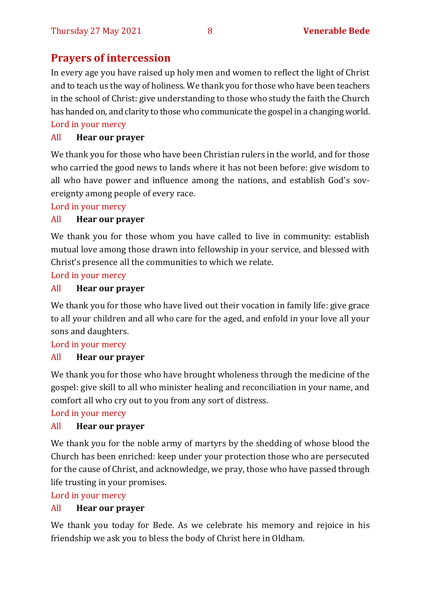#### **Prayers of intercession**

In every age you have raised up holy men and women to reflect the light of Christ and to teach us the way of holiness. We thank you for those who have been teachers in the school of Christ: give understanding to those who study the faith the Church has handed on, and clarity to those who communicate the gospel in a changing world. Lord in your mercy

#### All **Hear our prayer**

We thank you for those who have been Christian rulers in the world, and for those who carried the good news to lands where it has not been before: give wisdom to all who have power and influence among the nations, and establish God's sovereignty among people of every race.

Lord in your mercy

#### All **Hear our prayer**

We thank you for those whom you have called to live in community: establish mutual love among those drawn into fellowship in your service, and blessed with Christ's presence all the communities to which we relate.

Lord in your mercy

#### All **Hear our prayer**

We thank you for those who have lived out their vocation in family life: give grace to all your children and all who care for the aged, and enfold in your love all your sons and daughters.

#### Lord in your mercy

#### All **Hear our prayer**

We thank you for those who have brought wholeness through the medicine of the gospel: give skill to all who minister healing and reconciliation in your name, and comfort all who cry out to you from any sort of distress.

Lord in your mercy

#### All **Hear our prayer**

We thank you for the noble army of martyrs by the shedding of whose blood the Church has been enriched: keep under your protection those who are persecuted for the cause of Christ, and acknowledge, we pray, those who have passed through life trusting in your promises.

Lord in your mercy

#### All **Hear our prayer**

We thank you today for Bede. As we celebrate his memory and rejoice in his friendship we ask you to bless the body of Christ here in Oldham.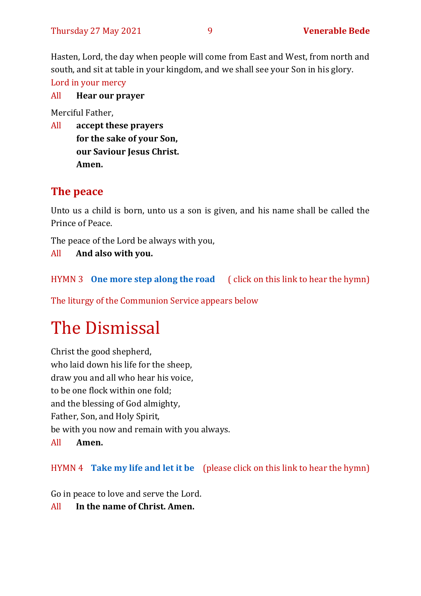Hasten, Lord, the day when people will come from East and West, from north and south, and sit at table in your kingdom, and we shall see your Son in his glory. Lord in your mercy

All **Hear our prayer**

Merciful Father,

All **accept these prayers for the sake of your Son, our Saviour Jesus Christ. Amen.**

#### **The peace**

Unto us a child is born, unto us a son is given, and his name shall be called the Prince of Peace.

The peace of the Lord be always with you,

All **And also with you.**

HYMN 3 **[One more step along the road](https://www.youtube.com/watch?v=b6czcGvXQcM)** ( click on this link to hear the hymn)

The liturgy of the Communion Service appears below

## The Dismissal

Christ the good shepherd, who laid down his life for the sheep, draw you and all who hear his voice, to be one flock within one fold; and the blessing of God almighty, Father, Son, and Holy Spirit, be with you now and remain with you always. All **Amen.**

HYMN 4 **[Take my life and let it be](https://www.youtube.com/watch?v=Gf11rReeWIs)** (please click on this link to hear the hymn)

Go in peace to love and serve the Lord.

All **In the name of Christ. Amen.**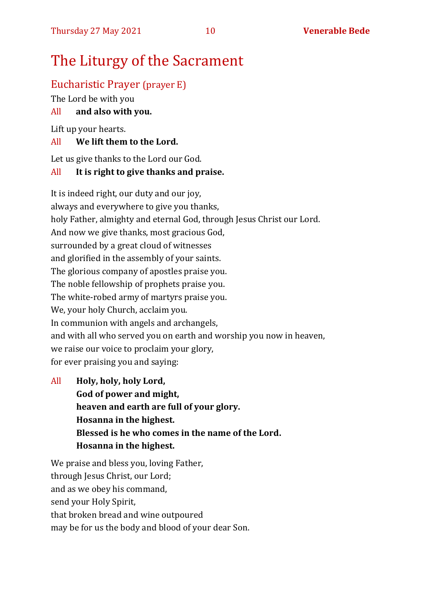## The Liturgy of the Sacrament

#### Eucharistic Prayer (prayer E)

The Lord be with you

#### All **and also with you.**

Lift up your hearts.

#### All **We lift them to the Lord.**

Let us give thanks to the Lord our God.

#### All **It is right to give thanks and praise.**

It is indeed right, our duty and our joy, always and everywhere to give you thanks, holy Father, almighty and eternal God, through Jesus Christ our Lord. And now we give thanks, most gracious God, surrounded by a great cloud of witnesses and glorified in the assembly of your saints. The glorious company of apostles praise you. The noble fellowship of prophets praise you. The white-robed army of martyrs praise you. We, your holy Church, acclaim you. In communion with angels and archangels, and with all who served you on earth and worship you now in heaven, we raise our voice to proclaim your glory, for ever praising you and saying:

All **Holy, holy, holy Lord, God of power and might, heaven and earth are full of your glory. Hosanna in the highest. Blessed is he who comes in the name of the Lord. Hosanna in the highest.**

We praise and bless you, loving Father, through Jesus Christ, our Lord; and as we obey his command, send your Holy Spirit, that broken bread and wine outpoured may be for us the body and blood of your dear Son.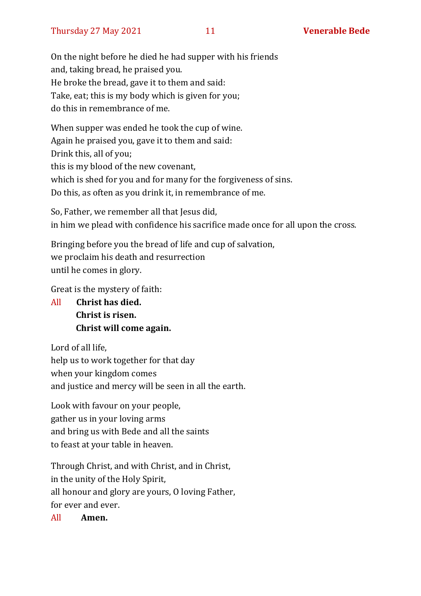On the night before he died he had supper with his friends and, taking bread, he praised you. He broke the bread, gave it to them and said: Take, eat; this is my body which is given for you; do this in remembrance of me.

When supper was ended he took the cup of wine. Again he praised you, gave it to them and said: Drink this, all of you; this is my blood of the new covenant, which is shed for you and for many for the forgiveness of sins. Do this, as often as you drink it, in remembrance of me.

So, Father, we remember all that Jesus did, in him we plead with confidence his sacrifice made once for all upon the cross.

Bringing before you the bread of life and cup of salvation, we proclaim his death and resurrection until he comes in glory.

Great is the mystery of faith:

All **Christ has died. Christ is risen. Christ will come again.**

Lord of all life, help us to work together for that day when your kingdom comes and justice and mercy will be seen in all the earth.

Look with favour on your people, gather us in your loving arms and bring us with Bede and all the saints to feast at your table in heaven.

Through Christ, and with Christ, and in Christ, in the unity of the Holy Spirit, all honour and glory are yours, O loving Father, for ever and ever.

All **Amen.**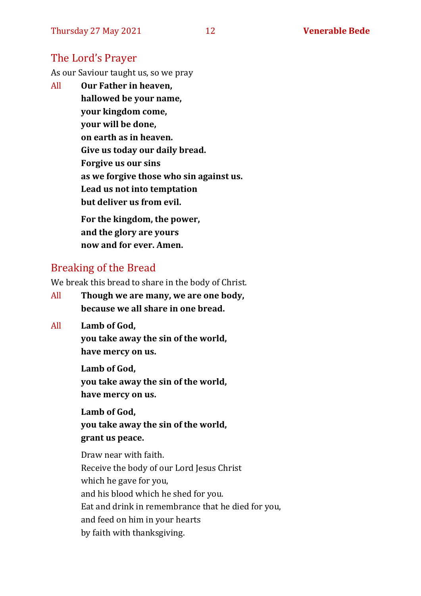#### The Lord's Prayer

As our Saviour taught us, so we pray

All **Our Father in heaven, hallowed be your name, your kingdom come, your will be done, on earth as in heaven. Give us today our daily bread. Forgive us our sins as we forgive those who sin against us. Lead us not into temptation but deliver us from evil. For the kingdom, the power,** 

**and the glory are yours now and for ever. Amen.**

#### Breaking of the Bread

We break this bread to share in the body of Christ.

- All **Though we are many, we are one body, because we all share in one bread.**
- All **Lamb of God,**

**you take away the sin of the world, have mercy on us.**

**Lamb of God, you take away the sin of the world, have mercy on us.**

**Lamb of God, you take away the sin of the world, grant us peace.**

Draw near with faith. Receive the body of our Lord Jesus Christ which he gave for you, and his blood which he shed for you. Eat and drink in remembrance that he died for you, and feed on him in your hearts by faith with thanksgiving.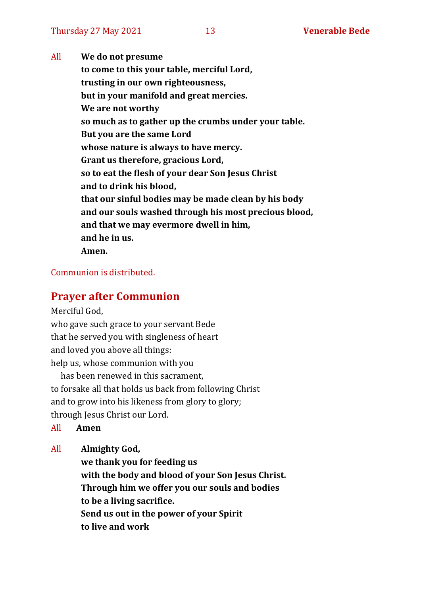All **We do not presume to come to this your table, merciful Lord, trusting in our own righteousness, but in your manifold and great mercies. We are not worthy so much as to gather up the crumbs under your table. But you are the same Lord whose nature is always to have mercy. Grant us therefore, gracious Lord, so to eat the flesh of your dear Son Jesus Christ and to drink his blood, that our sinful bodies may be made clean by his body and our souls washed through his most precious blood, and that we may evermore dwell in him, and he in us. Amen.**

#### Communion is distributed.

#### **Prayer after Communion**

Merciful God,

who gave such grace to your servant Bede that he served you with singleness of heart and loved you above all things: help us, whose communion with you

has been renewed in this sacrament, to forsake all that holds us back from following Christ and to grow into his likeness from glory to glory; through Jesus Christ our Lord.

All **Amen**

All **Almighty God,**

**we thank you for feeding us with the body and blood of your Son Jesus Christ. Through him we offer you our souls and bodies to be a living sacrifice. Send us out in the power of your Spirit to live and work**